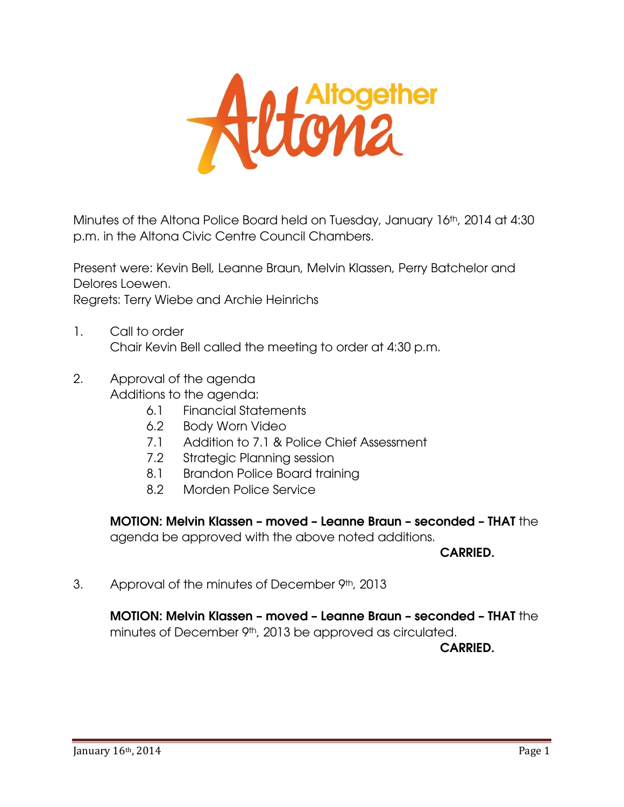

Minutes of the Altona Police Board held on Tuesday, January 16<sup>th</sup>, 2014 at 4:30 p.m. in the Altona Civic Centre Council Chambers.

Present were: Kevin Bell, Leanne Braun, Melvin Klassen, Perry Batchelor and Delores Loewen. Regrets: Terry Wiebe and Archie Heinrichs

- 1. Call to order Chair Kevin Bell called the meeting to order at 4:30 p.m.
- 2. Approval of the agenda Additions to the agenda:
	- 6.1 Financial Statements
	- 6.2 Body Worn Video
	- 7.1 Addition to 7.1 & Police Chief Assessment
	- 7.2 Strategic Planning session
	- 8.1 Brandon Police Board training
	- 8.2 Morden Police Service

MOTION: Melvin Klassen – moved – Leanne Braun – seconded – THAT the agenda be approved with the above noted additions.

CARRIED.

3. Approval of the minutes of December 9th, 2013

MOTION: Melvin Klassen – moved – Leanne Braun – seconded – THAT the minutes of December 9<sup>th</sup>, 2013 be approved as circulated.

CARRIED.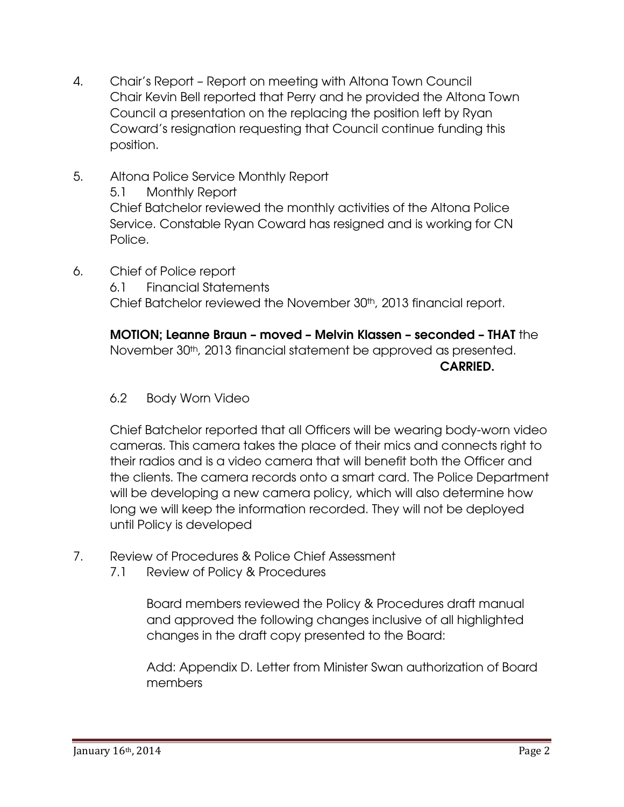- 4. Chair's Report Report on meeting with Altona Town Council Chair Kevin Bell reported that Perry and he provided the Altona Town Council a presentation on the replacing the position left by Ryan Coward's resignation requesting that Council continue funding this position.
- 5. Altona Police Service Monthly Report 5.1 Monthly Report Chief Batchelor reviewed the monthly activities of the Altona Police Service. Constable Ryan Coward has resigned and is working for CN Police.
- 6. Chief of Police report

6.1 Financial Statements Chief Batchelor reviewed the November 30<sup>th</sup>, 2013 financial report.

MOTION; Leanne Braun – moved – Melvin Klassen – seconded – THAT the November 30<sup>th</sup>, 2013 financial statement be approved as presented. **CARRIED.** 

6.2 Body Worn Video

Chief Batchelor reported that all Officers will be wearing body-worn video cameras. This camera takes the place of their mics and connects right to their radios and is a video camera that will benefit both the Officer and the clients. The camera records onto a smart card. The Police Department will be developing a new camera policy, which will also determine how long we will keep the information recorded. They will not be deployed until Policy is developed

- 7. Review of Procedures & Police Chief Assessment
	- 7.1 Review of Policy & Procedures

Board members reviewed the Policy & Procedures draft manual and approved the following changes inclusive of all highlighted changes in the draft copy presented to the Board:

Add: Appendix D. Letter from Minister Swan authorization of Board members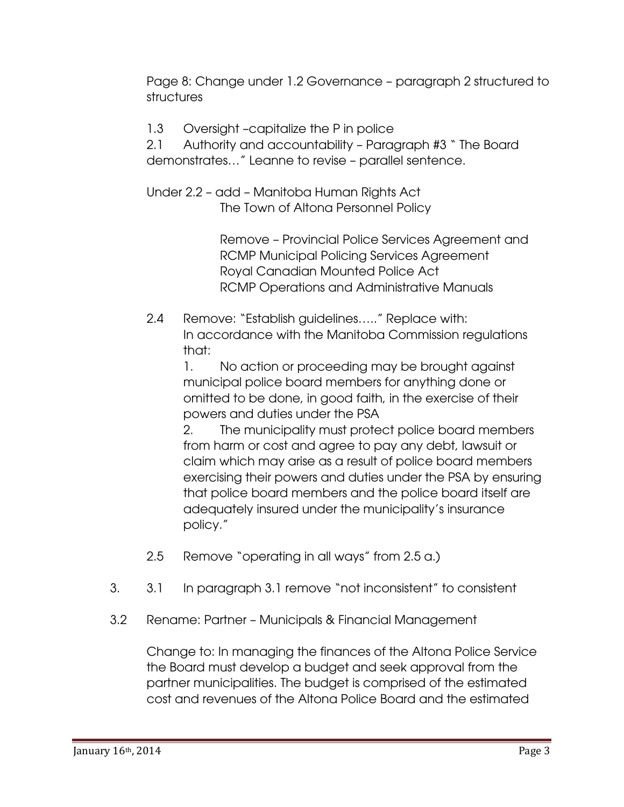Page 8: Change under 1.2 Governance – paragraph 2 structured to structures

1.3 Oversight –capitalize the P in police

2.1 Authority and accountability – Paragraph #3 " The Board demonstrates…" Leanne to revise – parallel sentence.

Under 2.2 – add – Manitoba Human Rights Act The Town of Altona Personnel Policy

> Remove – Provincial Police Services Agreement and RCMP Municipal Policing Services Agreement Royal Canadian Mounted Police Act RCMP Operations and Administrative Manuals

2.4 Remove: "Establish guidelines….." Replace with: In accordance with the Manitoba Commission regulations that:

1. No action or proceeding may be brought against municipal police board members for anything done or omitted to be done, in good faith, in the exercise of their powers and duties under the PSA

2. The municipality must protect police board members from harm or cost and agree to pay any debt, lawsuit or claim which may arise as a result of police board members exercising their powers and duties under the PSA by ensuring that police board members and the police board itself are adequately insured under the municipality's insurance policy."

- 2.5 Remove "operating in all ways" from 2.5 a.)
- 3. 3.1 In paragraph 3.1 remove "not inconsistent" to consistent
- 3.2 Rename: Partner Municipals & Financial Management

Change to: In managing the finances of the Altona Police Service the Board must develop a budget and seek approval from the partner municipalities. The budget is comprised of the estimated cost and revenues of the Altona Police Board and the estimated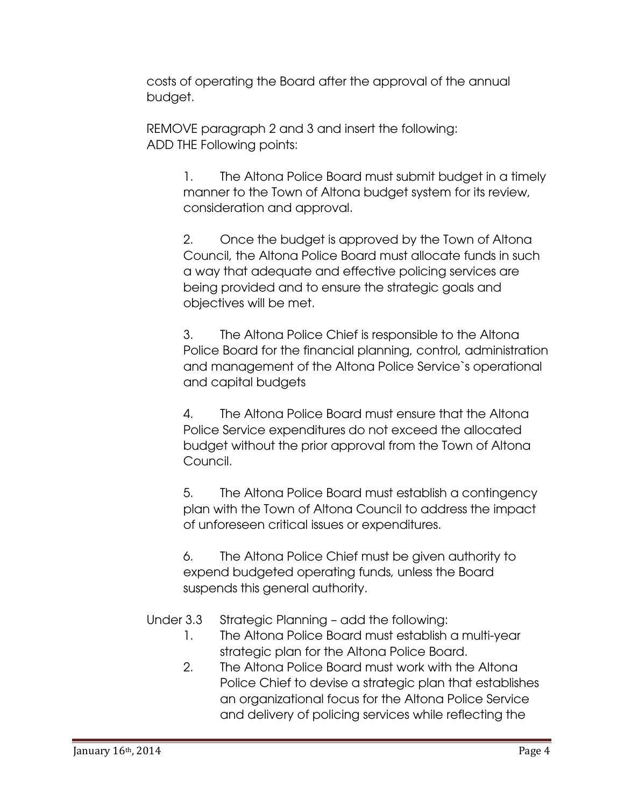costs of operating the Board after the approval of the annual budget.

REMOVE paragraph 2 and 3 and insert the following: ADD THE Following points:

> 1. The Altona Police Board must submit budget in a timely manner to the Town of Altona budget system for its review, consideration and approval.

2. Once the budget is approved by the Town of Altona Council, the Altona Police Board must allocate funds in such a way that adequate and effective policing services are being provided and to ensure the strategic goals and objectives will be met.

3. The Altona Police Chief is responsible to the Altona Police Board for the financial planning, control, administration and management of the Altona Police Service`s operational and capital budgets

4. The Altona Police Board must ensure that the Altona Police Service expenditures do not exceed the allocated budget without the prior approval from the Town of Altona Council.

5. The Altona Police Board must establish a contingency plan with the Town of Altona Council to address the impact of unforeseen critical issues or expenditures.

6. The Altona Police Chief must be given authority to expend budgeted operating funds, unless the Board suspends this general authority.

Under 3.3 Strategic Planning – add the following:

- 1. The Altona Police Board must establish a multi-year strategic plan for the Altona Police Board.
- 2. The Altona Police Board must work with the Altona Police Chief to devise a strategic plan that establishes an organizational focus for the Altona Police Service and delivery of policing services while reflecting the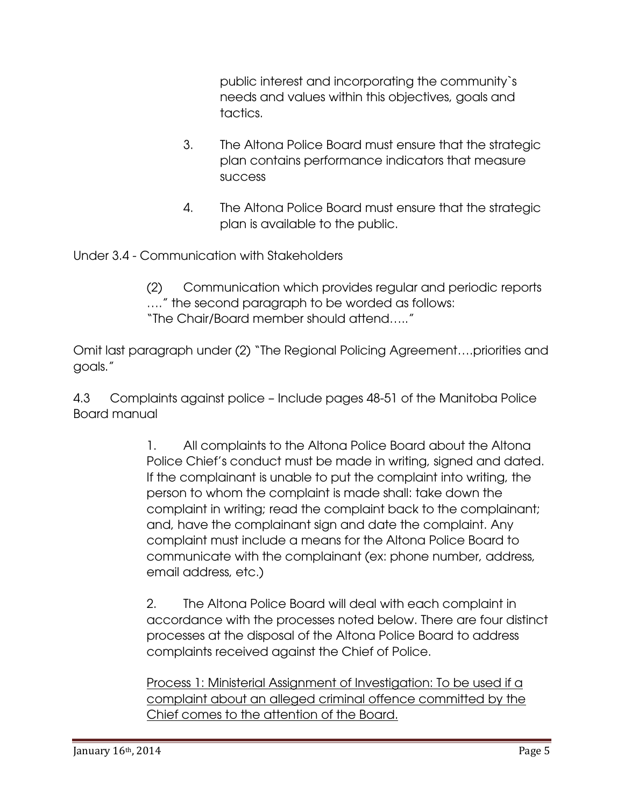public interest and incorporating the community`s needs and values within this objectives, goals and tactics.

- 3. The Altona Police Board must ensure that the strategic plan contains performance indicators that measure success
- 4. The Altona Police Board must ensure that the strategic plan is available to the public.

Under 3.4 - Communication with Stakeholders

(2) Communication which provides regular and periodic reports …." the second paragraph to be worded as follows: "The Chair/Board member should attend….."

Omit last paragraph under (2) "The Regional Policing Agreement….priorities and goals."

4.3 Complaints against police – Include pages 48-51 of the Manitoba Police Board manual

> 1. All complaints to the Altona Police Board about the Altona Police Chief's conduct must be made in writing, signed and dated. If the complainant is unable to put the complaint into writing, the person to whom the complaint is made shall: take down the complaint in writing; read the complaint back to the complainant; and, have the complainant sign and date the complaint. Any complaint must include a means for the Altona Police Board to communicate with the complainant (ex: phone number, address, email address, etc.)

2. The Altona Police Board will deal with each complaint in accordance with the processes noted below. There are four distinct processes at the disposal of the Altona Police Board to address complaints received against the Chief of Police.

Process 1: Ministerial Assignment of Investigation: To be used if a complaint about an alleged criminal offence committed by the Chief comes to the attention of the Board.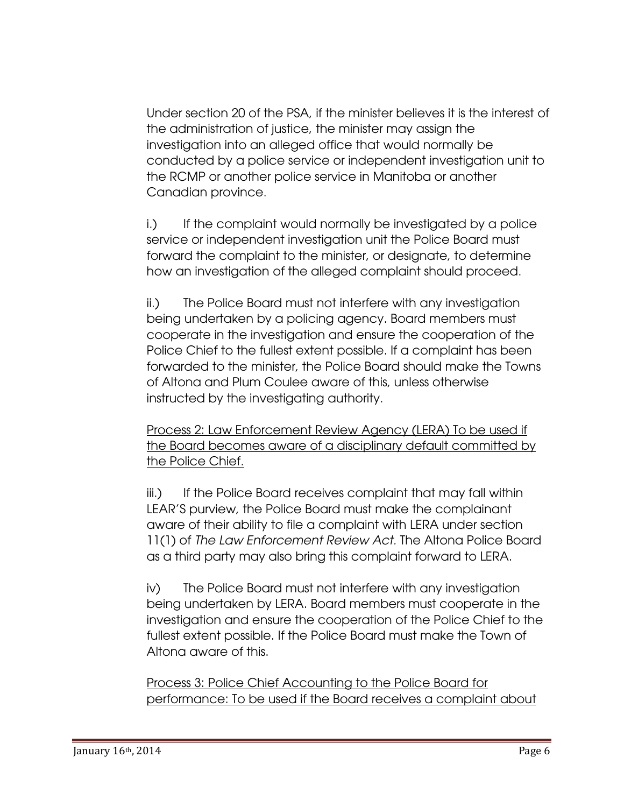Under section 20 of the PSA, if the minister believes it is the interest of the administration of justice, the minister may assign the investigation into an alleged office that would normally be conducted by a police service or independent investigation unit to the RCMP or another police service in Manitoba or another Canadian province.

i.) If the complaint would normally be investigated by a police service or independent investigation unit the Police Board must forward the complaint to the minister, or designate, to determine how an investigation of the alleged complaint should proceed.

ii.) The Police Board must not interfere with any investigation being undertaken by a policing agency. Board members must cooperate in the investigation and ensure the cooperation of the Police Chief to the fullest extent possible. If a complaint has been forwarded to the minister, the Police Board should make the Towns of Altona and Plum Coulee aware of this, unless otherwise instructed by the investigating authority.

Process 2: Law Enforcement Review Agency (LERA) To be used if the Board becomes aware of a disciplinary default committed by the Police Chief.

iii.) If the Police Board receives complaint that may fall within LEAR'S purview, the Police Board must make the complainant aware of their ability to file a complaint with LERA under section 11(1) of *The Law Enforcement Review Act.* The Altona Police Board as a third party may also bring this complaint forward to LERA.

iv) The Police Board must not interfere with any investigation being undertaken by LERA. Board members must cooperate in the investigation and ensure the cooperation of the Police Chief to the fullest extent possible. If the Police Board must make the Town of Altona aware of this.

Process 3: Police Chief Accounting to the Police Board for performance: To be used if the Board receives a complaint about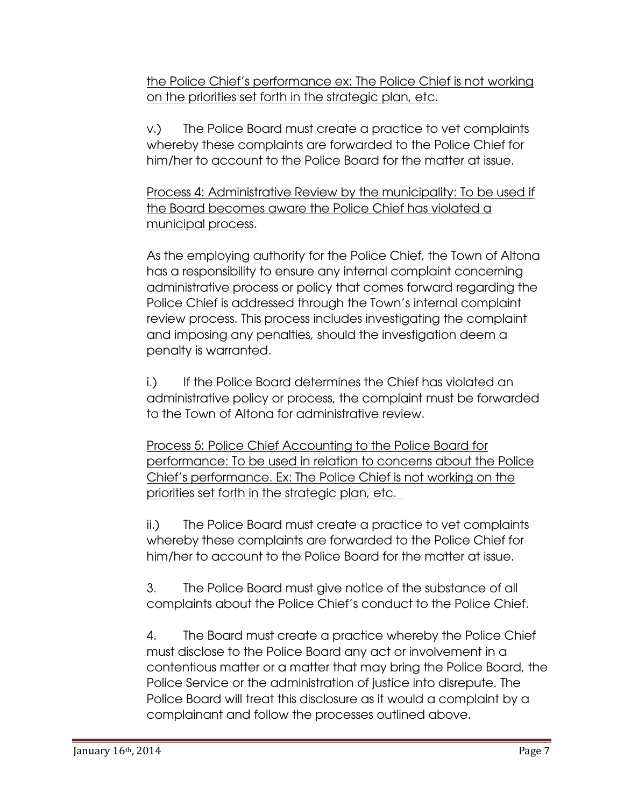the Police Chief's performance ex: The Police Chief is not working on the priorities set forth in the strategic plan, etc.

v.) The Police Board must create a practice to vet complaints whereby these complaints are forwarded to the Police Chief for him/her to account to the Police Board for the matter at issue.

Process 4: Administrative Review by the municipality: To be used if the Board becomes aware the Police Chief has violated a municipal process.

As the employing authority for the Police Chief, the Town of Altona has a responsibility to ensure any internal complaint concerning administrative process or policy that comes forward regarding the Police Chief is addressed through the Town's internal complaint review process. This process includes investigating the complaint and imposing any penalties, should the investigation deem a penalty is warranted.

i.) If the Police Board determines the Chief has violated an administrative policy or process, the complaint must be forwarded to the Town of Altona for administrative review.

Process 5: Police Chief Accounting to the Police Board for performance: To be used in relation to concerns about the Police Chief's performance. Ex: The Police Chief is not working on the priorities set forth in the strategic plan, etc.

ii.) The Police Board must create a practice to vet complaints whereby these complaints are forwarded to the Police Chief for him/her to account to the Police Board for the matter at issue.

3. The Police Board must give notice of the substance of all complaints about the Police Chief's conduct to the Police Chief.

4. The Board must create a practice whereby the Police Chief must disclose to the Police Board any act or involvement in a contentious matter or a matter that may bring the Police Board, the Police Service or the administration of justice into disrepute. The Police Board will treat this disclosure as it would a complaint by a complainant and follow the processes outlined above.